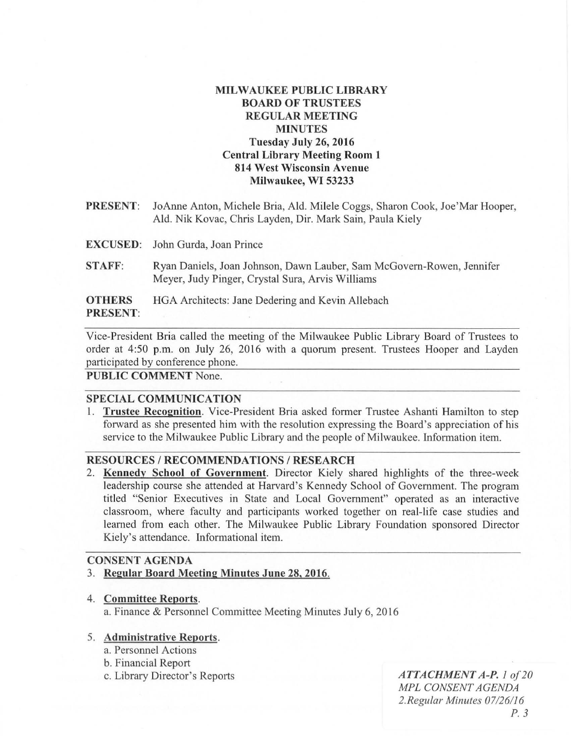# MILWAUKEE PUBLIC LIBRARY BOARD OF TRUSTEES REGULAR MEETING MINUTES Tuesday July 26, 2016 Central Library Meeting Room 1 814 West Wisconsin Avenue Milwaukee, WI 53233

- PRESENT: JoAnne Anton, Michele Bria, Ald. Milele Coggs, Sharon Cook, Joe'Mar Hooper, Ald. Nik Kovac, Chris Layden, Dir. Mark Sain, Paula Kiely
- EXCUSED: John Gurda, Joan Prince
- STAFF: Ryan Daniels, Joan Johnson, Dawn Lauber, Sam McGovern-Rowen, Jennifer Meyer, Judy Pinger, Crystal Sura, Arvis Williams

**OTHERS** HGA Architects: Jane Dedering and Kevin Allebach PRESENT:

Vice-President Bria called the meeting of the Milwaukee Public Library Board of Trustees to order at 4:50 p.m. on July 26, 2016 with a quorum present. Trustees Hooper and Layden participated by conference phone.

PUBLIC COMMENT None.

### SPECIAL COMMUNICATION

1. Trustee Recognition. Vice-President Bria asked former Trustee Ashanti Hamilton to step forward as she presented him with the resolution expressing the Board's appreciation of his service to the Milwaukee Public Library and the people of Milwaukee. Information item.

### RESOURCES / RECOMMENDATIONS / RESEARCH

2. Kennedy School of Government. Director Kiely shared highlights of the three-week leadership course she attended at Harvard's Kennedy School of Government. The program titled "Senior Executives in State and Local Government" operated as an interactive classroom, where faculty and participants worked together on real-life case studies and learned from each other. The Milwaukee Public Library Foundation sponsored Director Kiely's attendance. Informational item.

### CONSENT AGENDA

- 3. Regular Board Meeting Minutes June 28, 2016.
- 4. Committee Reports. a. Finance & Personnel Committee Meeting Minutes July 6, 2016

#### 5. Administrative Reports.

- a. Personnel Actions
- b. Financial Report
- 

c. Library Director's Reports *ATTACHMENT A-P.* 1 of 20 *MPL CONSENT AGENDA*  2. *Regu/ar Minutes 07/26/16 P. 3*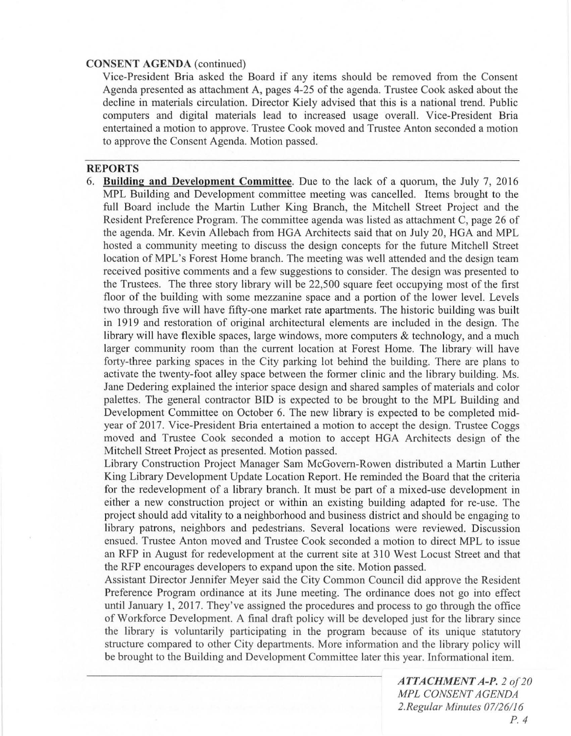#### **CONSENT AGENDA** (continued)

Vice-President Bria asked the Board if any items should be removed from the Consent Agenda presented as attachment A, pages 4-25 of the agenda. Trustee Cook asked about the decline in materials circulation. Director Kiely advised that this is a national trend. Public computers and digital materials lead to increased usage overall. Vice-President Bria entertained a motion to approve. Trustee Cook moved and Trustee Anton seconded a motion to approve the Consent Agenda. Motion passed.

# **REPORTS**

6. **Building and Development Committee.** Due to the lack of a quorum, the July 7, 2016 MPL Building and Development committee meeting was cancelled. Items brought to the full Board include the Martin Luther King Branch, the Mitchell Street Project and the Resident Preference Program. The committee agenda was listed as attachment C, page 26 of the agenda. Mr. Kevin Allebach from HGA Architects said that on July 20, HGA and MPL hosted a community meeting to discuss the design concepts for the future Mitchell Street location of MPL's Forest Home branch. The meeting was well attended and the design team received positive comments and a few suggestions to consider. The design was presented to the Trustees. The three story library will be 22,500 square feet occupying most of the first floor of the building with some mezzanine space and a portion of the lower level. Levels two through five will have fifty-one market rate apartments. The historic building was built in 1919 and restoration of original architectural elements are included in the design. The library will have flexible spaces, large windows, more computers & technology, and a much larger community room than the current location at Forest Home. The library will have forty-three parking spaces in the City parking lot behind the building. There are plans to activate the twenty-foot alley space between the former clinic and the library building. Ms. Jane Dedering explained the interior space design and shared samples of materials and color palettes. The general contractor BID is expected to be brought to the MPL Building and Development Committee on October 6. The new library is expected to be completed midyear of 2017. Vice-President Bria entertained a motion to accept the design. Trustee Coggs moved and Trustee Cook seconded a motion to accept HGA Architects design of the Mitchell Street Project as presented. Motion passed.

Library Construction Project Manager Sam McGovern-Rowen distributed a Martin Luther King Library Development Update Location Report. He reminded the Board that the criteria for the redevelopment of a library branch. It must be part of a mixed-use development in either a new construction project or within an existing building adapted for re-use. The project should add vitality to a neighborhood and business district and should be engaging to library patrons, neighbors and pedestrians. Several locations were reviewed. Discussion ensued. Trustee Anton moved and Trustee Cook seconded a motion to direct MPL to issue an RFP in August for redevelopment at the current site at 310 West Locust Street and that the RFP encourages developers to expand upon the site. Motion passed.

Assistant Director Jennifer Meyer said the City Common Council did approve the Resident Preference Program ordinance at its June meeting. The ordinance does not go into effect until January 1,2017. They've assigned the procedures and process to go through the office of Workforce Development. A final draft policy will be developed just for the library since the library is voluntarily participating in the program because of its unique statutory structure compared to other City departments. More information and the library policy will be brought to the Building and Development Committee later this year. Informational item.